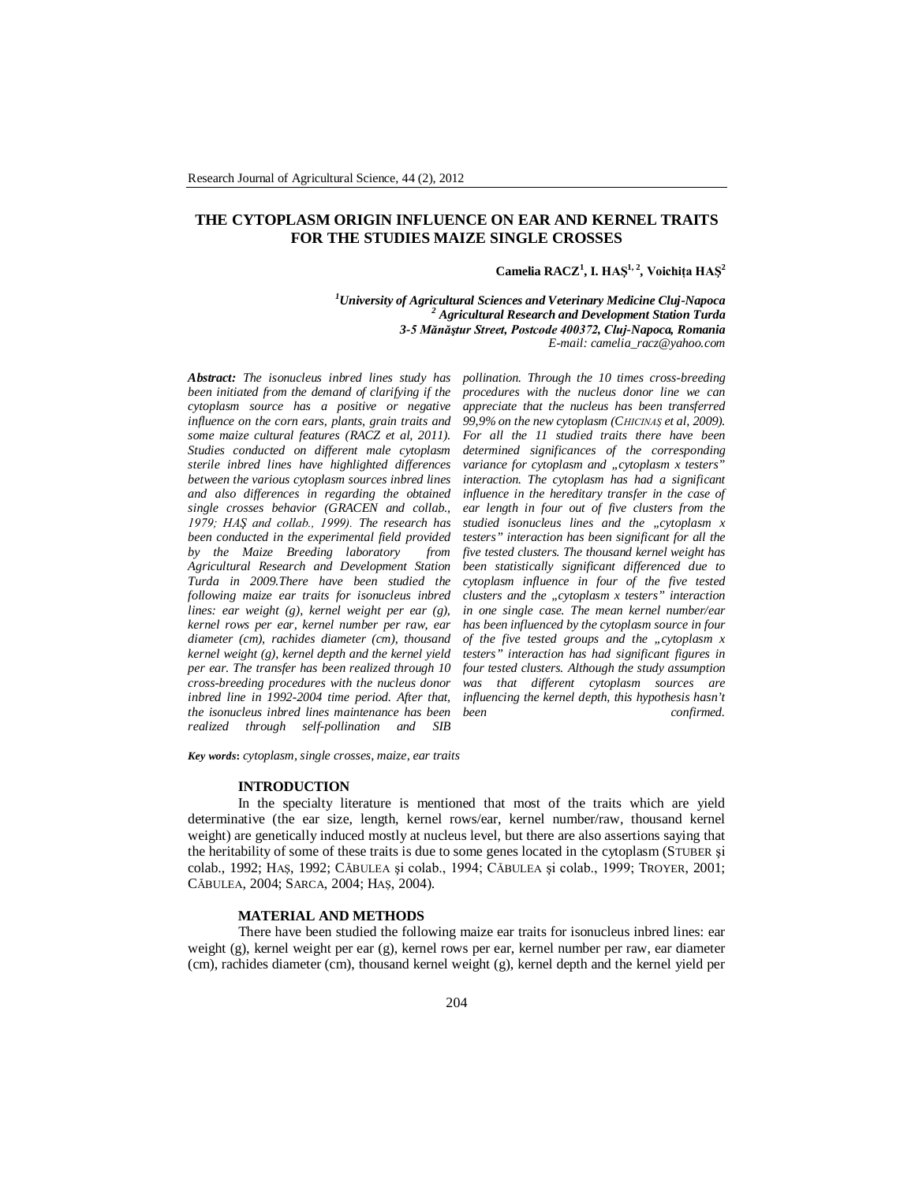## **THE CYTOPLASM ORIGIN INFLUENCE ON EAR AND KERNEL TRAITS FOR THE STUDIES MAIZE SINGLE CROSSES**

### **Camelia RACZ<sup>1</sup> , I. HAŞ1, 2 , Voichiţa HAŞ<sup>2</sup>**

*<sup>1</sup>University of Agricultural Sciences and Veterinary Medicine Cluj-Napoca 2 Agricultural Research and Development Station Turda 3-5 Mănăştur Street, Postcode 400372, Cluj-Napoca, Romania E-mail: camelia\_racz@yahoo.com*

*Abstract: The isonucleus inbred lines study has been initiated from the demand of clarifying if the cytoplasm source has a positive or negative influence on the corn ears, plants, grain traits and some maize cultural features (RACZ et al, 2011). Studies conducted on different male cytoplasm sterile inbred lines have highlighted differences between the various cytoplasm sources inbred lines and also differences in regarding the obtained single crosses behavior (GRACEN and collab., 1979; HAŞ and collab., 1999). The research has been conducted in the experimental field provided by the Maize Breeding laboratory from Agricultural Research and Development Station Turda in 2009.There have been studied the following maize ear traits for isonucleus inbred lines: ear weight (g), kernel weight per ear (g), kernel rows per ear, kernel number per raw, ear diameter (cm), rachides diameter (cm), thousand kernel weight (g), kernel depth and the kernel yield per ear. The transfer has been realized through 10 cross-breeding procedures with the nucleus donor inbred line in 1992-2004 time period. After that, the isonucleus inbred lines maintenance has been realized through self-pollination and* 

*pollination. Through the 10 times cross-breeding procedures with the nucleus donor line we can appreciate that the nucleus has been transferred 99,9% on the new cytoplasm (CHICINAŞ et al, 2009). For all the 11 studied traits there have been determined significances of the corresponding*  variance for cytoplasm and "cytoplasm x testers<sup>"</sup> *interaction. The cytoplasm has had a significant influence in the hereditary transfer in the case of ear length in four out of five clusters from the studied isonucleus lines and the "cytoplasm x testers" interaction has been significant for all the five tested clusters. The thousand kernel weight has been statistically significant differenced due to cytoplasm influence in four of the five tested clusters and the "cytoplasm x testers" interaction in one single case. The mean kernel number/ear has been influenced by the cytoplasm source in four of the five tested groups and the "cytoplasm x testers" interaction has had significant figures in four tested clusters. Although the study assumption was that different cytoplasm sources are influencing the kernel depth, this hypothesis hasn't been confirmed.*

*Key words***:** *cytoplasm, single crosses, maize, ear traits*

#### **INTRODUCTION**

In the specialty literature is mentioned that most of the traits which are yield determinative (the ear size, length, kernel rows/ear, kernel number/raw, thousand kernel weight) are genetically induced mostly at nucleus level, but there are also assertions saying that the heritability of some of these traits is due to some genes located in the cytoplasm (STUBER şi colab., 1992; HAŞ, 1992; CĂBULEA şi colab., 1994; CĂBULEA şi colab., 1999; TROYER, 2001; CĂBULEA, 2004; SARCA, 2004; HAŞ, 2004).

### **MATERIAL AND METHODS**

There have been studied the following maize ear traits for isonucleus inbred lines: ear weight (g), kernel weight per ear (g), kernel rows per ear, kernel number per raw, ear diameter (cm), rachides diameter (cm), thousand kernel weight (g), kernel depth and the kernel yield per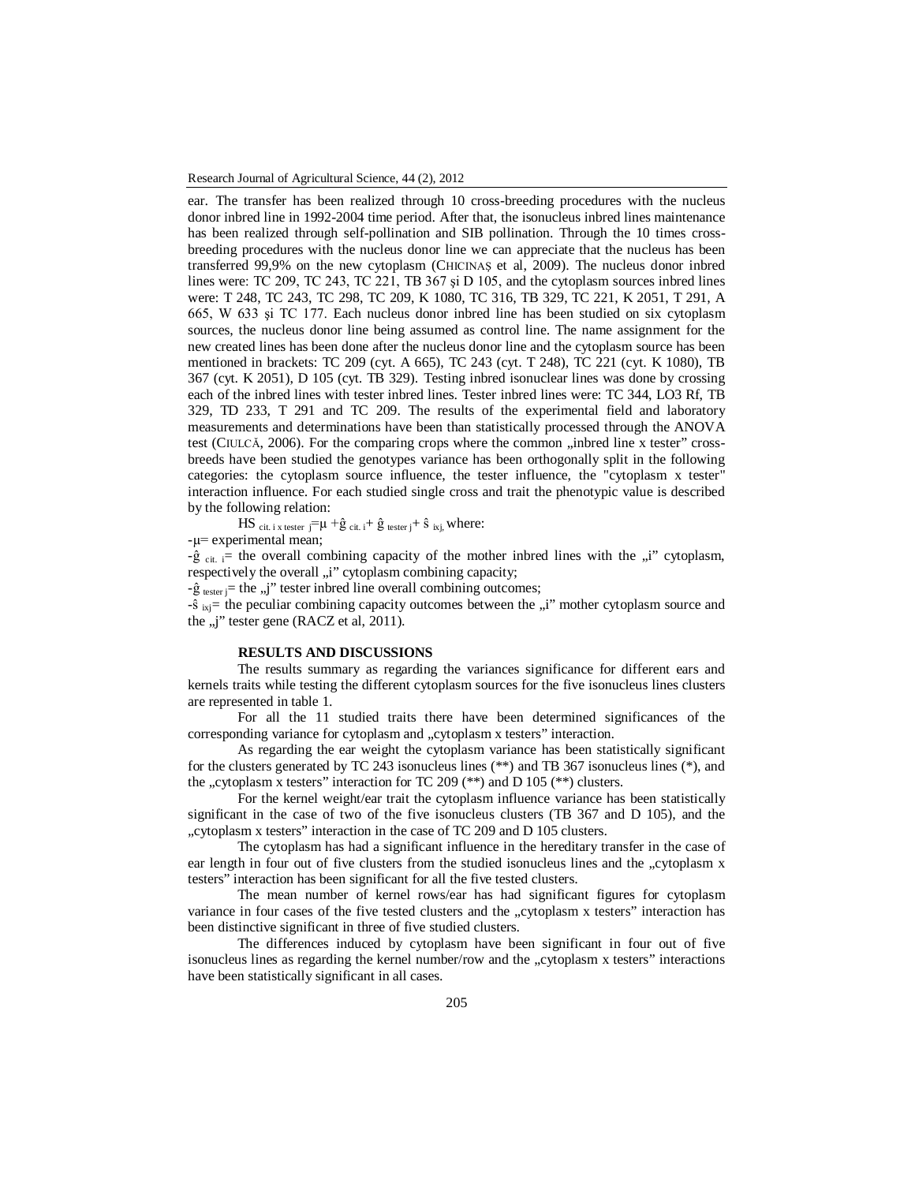ear. The transfer has been realized through 10 cross-breeding procedures with the nucleus donor inbred line in 1992-2004 time period. After that, the isonucleus inbred lines maintenance has been realized through self-pollination and SIB pollination. Through the 10 times crossbreeding procedures with the nucleus donor line we can appreciate that the nucleus has been transferred 99,9% on the new cytoplasm (CHICINAŞ et al, 2009). The nucleus donor inbred lines were: TC 209, TC 243, TC 221, TB 367 şi D 105, and the cytoplasm sources inbred lines were: T 248, TC 243, TC 298, TC 209, K 1080, TC 316, TB 329, TC 221, K 2051, T 291, A 665, W 633 şi TC 177. Each nucleus donor inbred line has been studied on six cytoplasm sources, the nucleus donor line being assumed as control line. The name assignment for the new created lines has been done after the nucleus donor line and the cytoplasm source has been mentioned in brackets: TC 209 (cyt. A 665), TC 243 (cyt. T 248), TC 221 (cyt. K 1080), TB 367 (cyt. K 2051), D 105 (cyt. TB 329). Testing inbred isonuclear lines was done by crossing each of the inbred lines with tester inbred lines. Tester inbred lines were: TC 344, LO3 Rf, TB 329, TD 233, T 291 and TC 209. The results of the experimental field and laboratory measurements and determinations have been than statistically processed through the ANOVA test (CIULCĂ, 2006). For the comparing crops where the common "inbred line x tester" crossbreeds have been studied the genotypes variance has been orthogonally split in the following categories: the cytoplasm source influence, the tester influence, the "cytoplasm x tester" interaction influence. For each studied single cross and trait the phenotypic value is described by the following relation:

$$
HS_{\text{cit. i x tester } j} = \mu + \hat{g}_{\text{cit. i}} + \hat{g}_{\text{tester } j} + \hat{s}_{\text{ixj,}} where:
$$

-µ= experimental mean;

 $-\hat{g}_{\text{crit}}$  = the overall combining capacity of the mother inbred lines with the  $\hat{u}$ " cytoplasm, respectively the overall "i" cytoplasm combining capacity;

 $-\hat{g}$  tester j= the "j" tester indeed line overall combining outcomes;

-ŝ <sub>ixj</sub>= the peculiar combining capacity outcomes between the "i" mother cytoplasm source and the  $, j$ " tester gene (RACZ et al, 2011).

### **RESULTS AND DISCUSSIONS**

The results summary as regarding the variances significance for different ears and kernels traits while testing the different cytoplasm sources for the five isonucleus lines clusters are represented in table 1.

For all the 11 studied traits there have been determined significances of the corresponding variance for cytoplasm and "cytoplasm x testers" interaction.

As regarding the ear weight the cytoplasm variance has been statistically significant for the clusters generated by TC 243 isonucleus lines (\*\*) and TB 367 isonucleus lines (\*), and the "cytoplasm x testers" interaction for TC 209 (\*\*) and D 105 (\*\*) clusters.

For the kernel weight/ear trait the cytoplasm influence variance has been statistically significant in the case of two of the five isonucleus clusters (TB 367 and D 105), and the "cytoplasm x testers" interaction in the case of TC 209 and D 105 clusters.

The cytoplasm has had a significant influence in the hereditary transfer in the case of ear length in four out of five clusters from the studied isonucleus lines and the "cytoplasm x testers" interaction has been significant for all the five tested clusters.

The mean number of kernel rows/ear has had significant figures for cytoplasm variance in four cases of the five tested clusters and the "cytoplasm x testers" interaction has been distinctive significant in three of five studied clusters.

The differences induced by cytoplasm have been significant in four out of five isonucleus lines as regarding the kernel number/row and the "cytoplasm x testers" interactions have been statistically significant in all cases.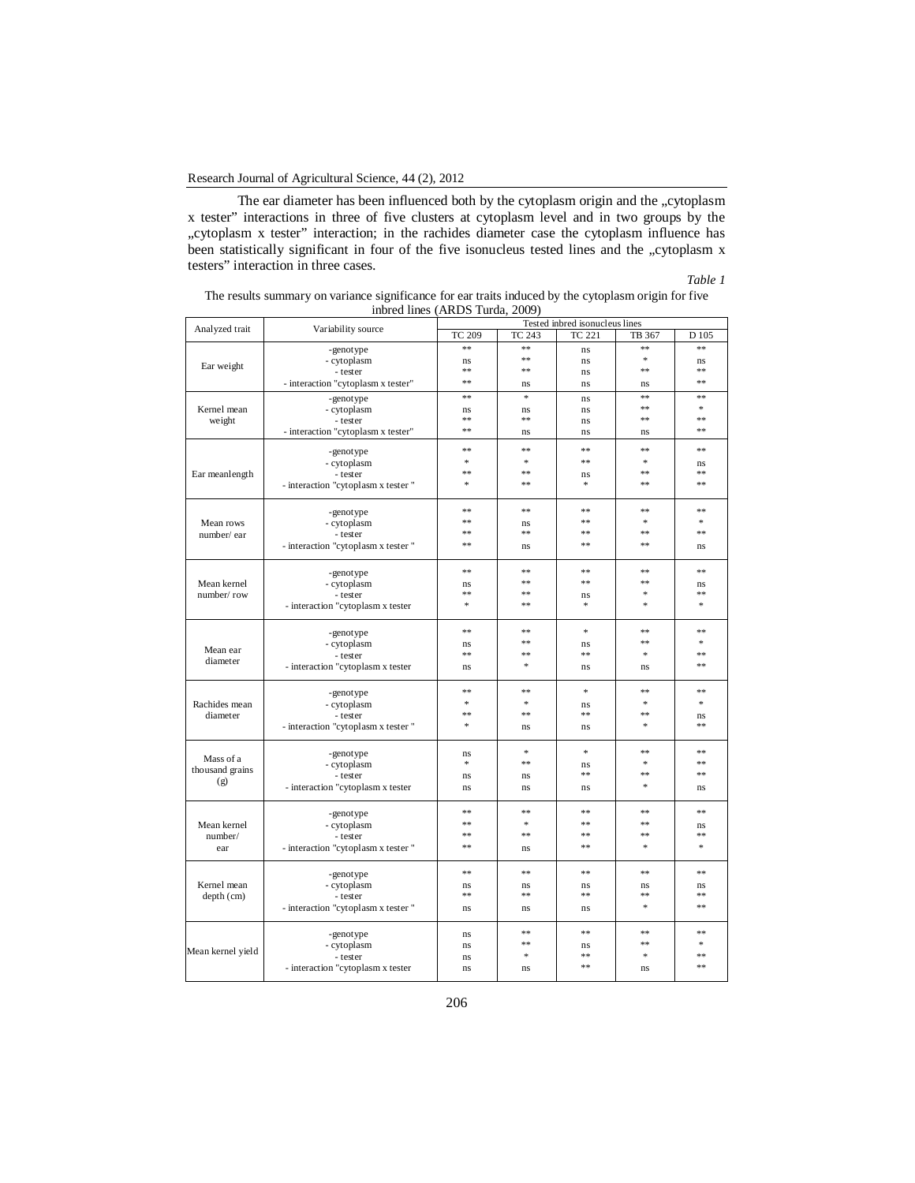The ear diameter has been influenced both by the cytoplasm origin and the "cytoplasm x tester" interactions in three of five clusters at cytoplasm level and in two groups by the "cytoplasm x tester" interaction; in the rachides diameter case the cytoplasm influence has been statistically significant in four of the five isonucleus tested lines and the "cytoplasm x testers" interaction in three cases.

### *Table 1*

| The results summary on variance significance for ear traits induced by the cytoplasm origin for five |
|------------------------------------------------------------------------------------------------------|
| inbred lines (ARDS Turda, 2009)                                                                      |

| Analyzed trait    | Variability source                  | Tested inbred isonucleus lines |        |               |        |        |  |
|-------------------|-------------------------------------|--------------------------------|--------|---------------|--------|--------|--|
|                   |                                     | <b>TC 209</b>                  | TC 243 | <b>TC 221</b> | TB 367 | D 105  |  |
|                   | -genotype                           | **                             | **     | ns            | **     | **     |  |
|                   | - cytoplasm                         | ns                             | **     | ns            | $\ast$ | ns     |  |
| Ear weight        | - tester                            | **                             | **     | ns            | **     | **     |  |
|                   | - interaction "cytoplasm x tester"  | **                             | ns     | ns            | ns     | $**$   |  |
|                   | -genotype                           | **                             | *      | ns            | **     | **     |  |
| Kernel mean       | - cytoplasm                         | ns                             | ns     | ns            | **     | *      |  |
| weight            | - tester                            | **                             | **     | ns            | **     | **     |  |
|                   | - interaction "cytoplasm x tester"  | **                             | ns     | ns            | ns     | **     |  |
|                   |                                     |                                |        |               |        |        |  |
|                   | -genotype                           | **                             | **     | **            | **     | **     |  |
|                   | - cytoplasm                         | $\ast$                         | $\ast$ | **            | $\ast$ | ns     |  |
| Ear meanlength    | - tester                            | **                             | $**$   | ns            | $**$   | 索索     |  |
|                   | - interaction "cytoplasm x tester"  | $\pm$                          | $**$   | $\ast$        | $**$   | $**$   |  |
|                   |                                     |                                |        |               |        |        |  |
|                   | -genotype                           | **                             | **     | **            | **     | **     |  |
| Mean rows         | - cytoplasm                         | 念念                             | ns     | **            | $\ast$ | $\ast$ |  |
| number/ear        | - tester                            | $**$                           | **     | $**$          | $**$   | $**$   |  |
|                   | - interaction "cytoplasm x tester " | $**$                           | ns     | $**$          | $**$   | ns     |  |
|                   |                                     |                                |        |               |        |        |  |
|                   | -genotype                           | 念念                             | **     | **            | **     | **     |  |
| Mean kernel       | - cytoplasm                         | ns                             | **     | **            | **     | ns     |  |
| number/row        | - tester                            | **                             | **     | ns            | $\ast$ | **     |  |
|                   | - interaction "cytoplasm x tester   | $\ast$                         | **     | $\ast$        | $\ast$ | *      |  |
|                   |                                     | **                             | **     | $\ast$        | **     | **     |  |
|                   | -genotype                           |                                | **     |               | **     | $\ast$ |  |
| Mean ear          | - cytoplasm                         | ns<br>**                       | **     | ns<br>**      | $\ast$ | **     |  |
| diameter          | - tester                            |                                | *      |               |        | **     |  |
|                   | - interaction "cytoplasm x tester   | ns                             |        | ns            | ns     |        |  |
|                   | -genotype                           | **                             | **     | *             | **     | **     |  |
| Rachides mean     | - cytoplasm                         | $\frac{1}{2}$                  | *      | ns            | $\ast$ | $\ast$ |  |
| diameter          | - tester                            | **                             | **     | **            | **     | ns     |  |
|                   | - interaction "cytoplasm x tester"  | $\approx$                      | ns     | ns            | $\ast$ | **     |  |
|                   |                                     |                                |        |               |        |        |  |
|                   | -genotype                           | ns                             | *      | $\ast$        | **     | **     |  |
| Mass of a         | - cytoplasm                         | $\ast$                         | **     | ns            | $\ast$ | **     |  |
| thousand grains   | - tester                            | n <sub>s</sub>                 | ns     | **            | **     | **     |  |
| (g)               | - interaction "cytoplasm x tester   | ns                             | ns     | ns            | $\ast$ | ns     |  |
|                   |                                     |                                |        |               |        |        |  |
|                   | -genotype                           | **                             | **     | **            | **     | **     |  |
| Mean kernel       | - cytoplasm                         | **                             | *      | **            | **     | ns     |  |
| number/           | - tester                            | **                             | **     | **            | **     | **     |  |
| ear               | - interaction "cytoplasm x tester"  | **                             | ns     | **            | $\ast$ | *      |  |
|                   |                                     |                                |        |               |        |        |  |
|                   | -genotype                           | **                             | **     | **            | **     | **     |  |
| Kernel mean       | - cytoplasm                         | ns                             | ns     | ns            | ns     | ns     |  |
| depth (cm)        | - tester                            | **                             | **     | **            | **     | **     |  |
|                   | - interaction "cytoplasm x tester"  | ns                             | ns     | ns            | $\ast$ | **     |  |
|                   |                                     |                                | **     | **            | **     | **     |  |
| Mean kernel yield | -genotype                           | ns                             | **     |               | **     | $\ast$ |  |
|                   | - cytoplasm                         | ns                             | $\ast$ | ns<br>**      | $\ast$ | **     |  |
|                   | - tester                            | ns                             |        | **            |        | **     |  |
|                   | - interaction "cytoplasm x tester   | ns                             | ns     |               | ns     |        |  |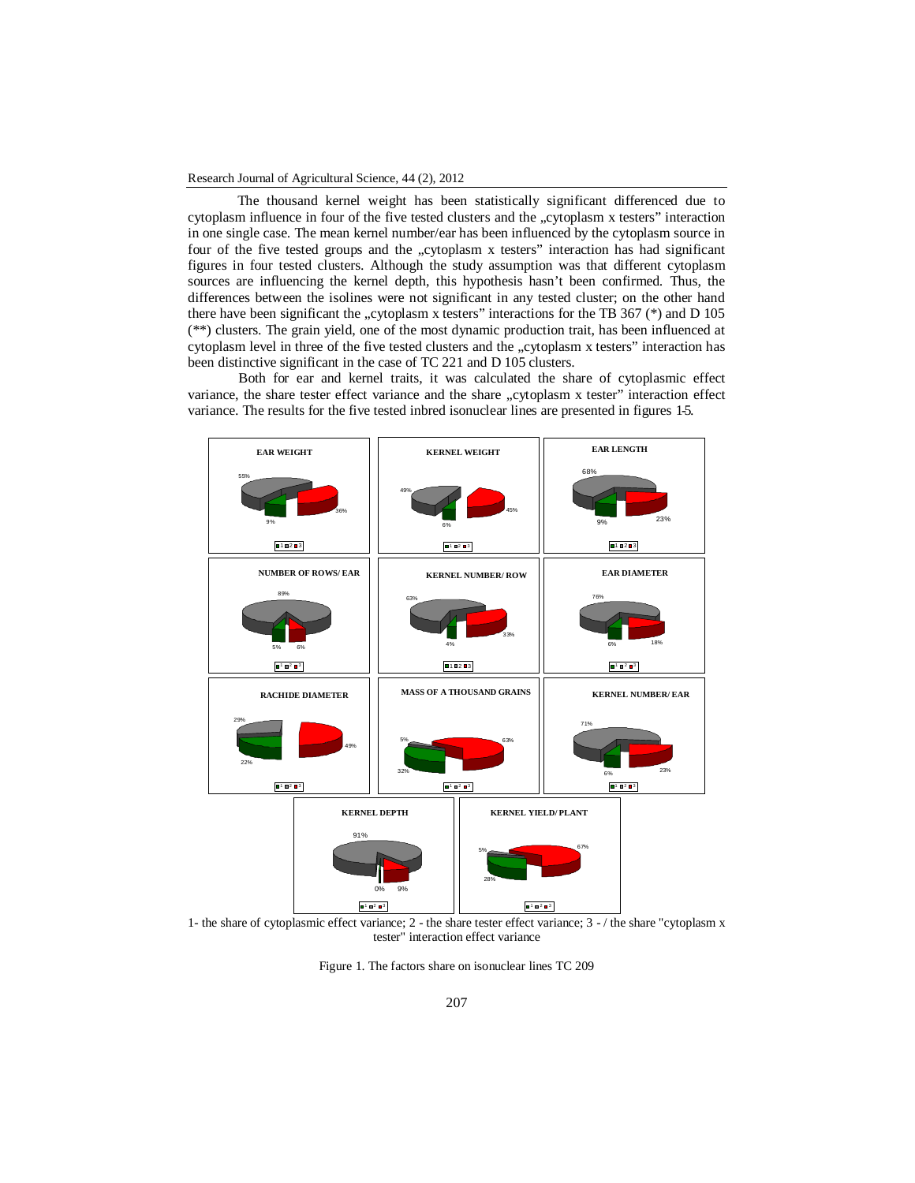The thousand kernel weight has been statistically significant differenced due to cytoplasm influence in four of the five tested clusters and the "cytoplasm x testers" interaction in one single case. The mean kernel number/ear has been influenced by the cytoplasm source in four of the five tested groups and the "cytoplasm x testers" interaction has had significant figures in four tested clusters. Although the study assumption was that different cytoplasm sources are influencing the kernel depth, this hypothesis hasn't been confirmed. Thus, the differences between the isolines were not significant in any tested cluster; on the other hand there have been significant the "cytoplasm x testers" interactions for the TB 367 ( $*$ ) and D 105 (\*\*) clusters. The grain yield, one of the most dynamic production trait, has been influenced at cytoplasm level in three of the five tested clusters and the "cytoplasm x testers" interaction has been distinctive significant in the case of TC 221 and D 105 clusters.

Both for ear and kernel traits, it was calculated the share of cytoplasmic effect variance, the share tester effect variance and the share "cytoplasm x tester" interaction effect variance. The results for the five tested inbred isonuclear lines are presented in figures 1-5.



1- the share of cytoplasmic effect variance; 2 - the share tester effect variance; 3 - / the share "cytoplasm x tester" interaction effect variance

Figure 1. The factors share on isonuclear lines TC 209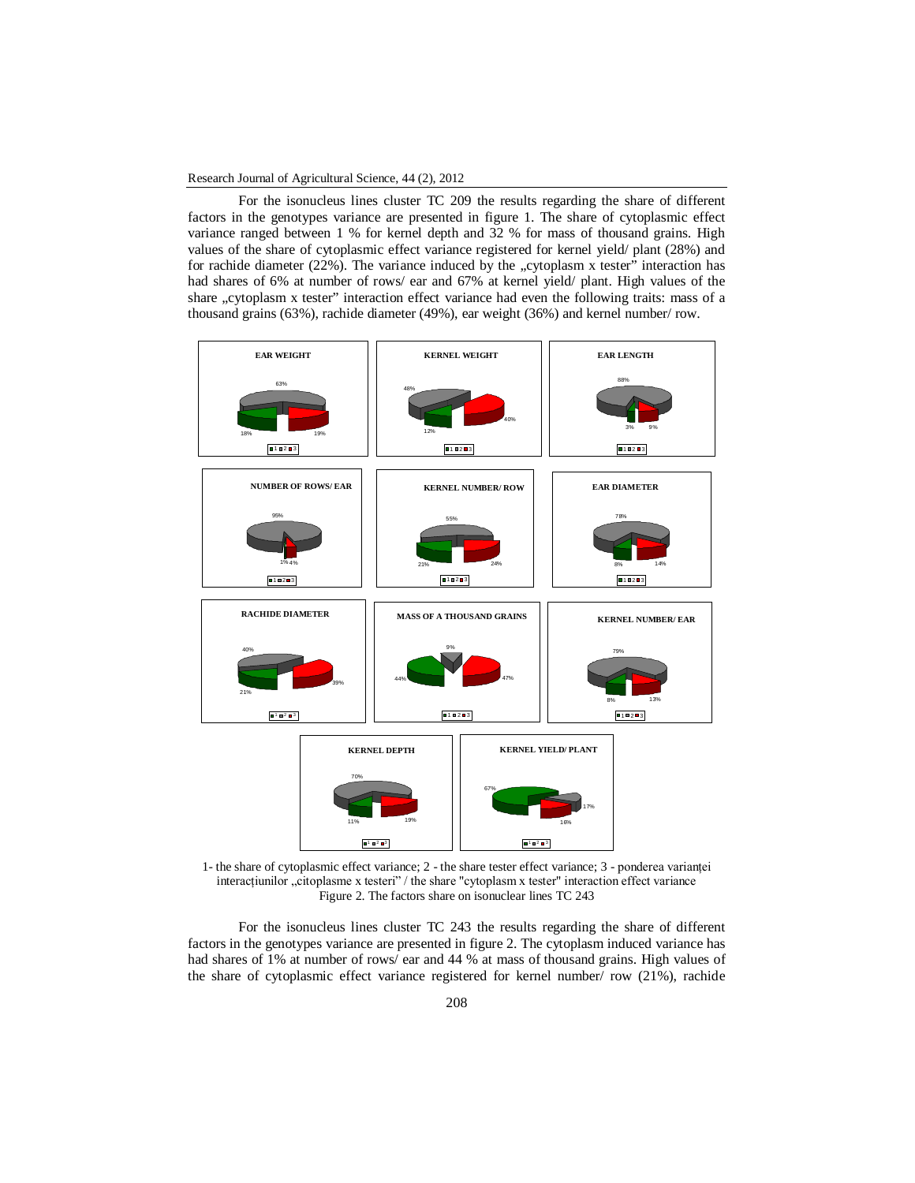For the isonucleus lines cluster TC 209 the results regarding the share of different factors in the genotypes variance are presented in figure 1. The share of cytoplasmic effect variance ranged between 1 % for kernel depth and 32 % for mass of thousand grains. High values of the share of cytoplasmic effect variance registered for kernel yield/ plant (28%) and for rachide diameter  $(22\%)$ . The variance induced by the "cytoplasm x tester" interaction has had shares of 6% at number of rows/ ear and 67% at kernel yield/ plant. High values of the share "cytoplasm x tester" interaction effect variance had even the following traits: mass of a thousand grains (63%), rachide diameter (49%), ear weight (36%) and kernel number/ row.



1- the share of cytoplasmic effect variance; 2 - the share tester effect variance; 3 - ponderea variantei interactiunilor "citoplasme x testeri" / the share "cytoplasm x tester" interaction effect variance Figure 2. The factors share on isonuclear lines TC 243

For the isonucleus lines cluster TC 243 the results regarding the share of different factors in the genotypes variance are presented in figure 2. The cytoplasm induced variance has had shares of 1% at number of rows/ ear and 44 % at mass of thousand grains. High values of the share of cytoplasmic effect variance registered for kernel number/ row (21%), rachide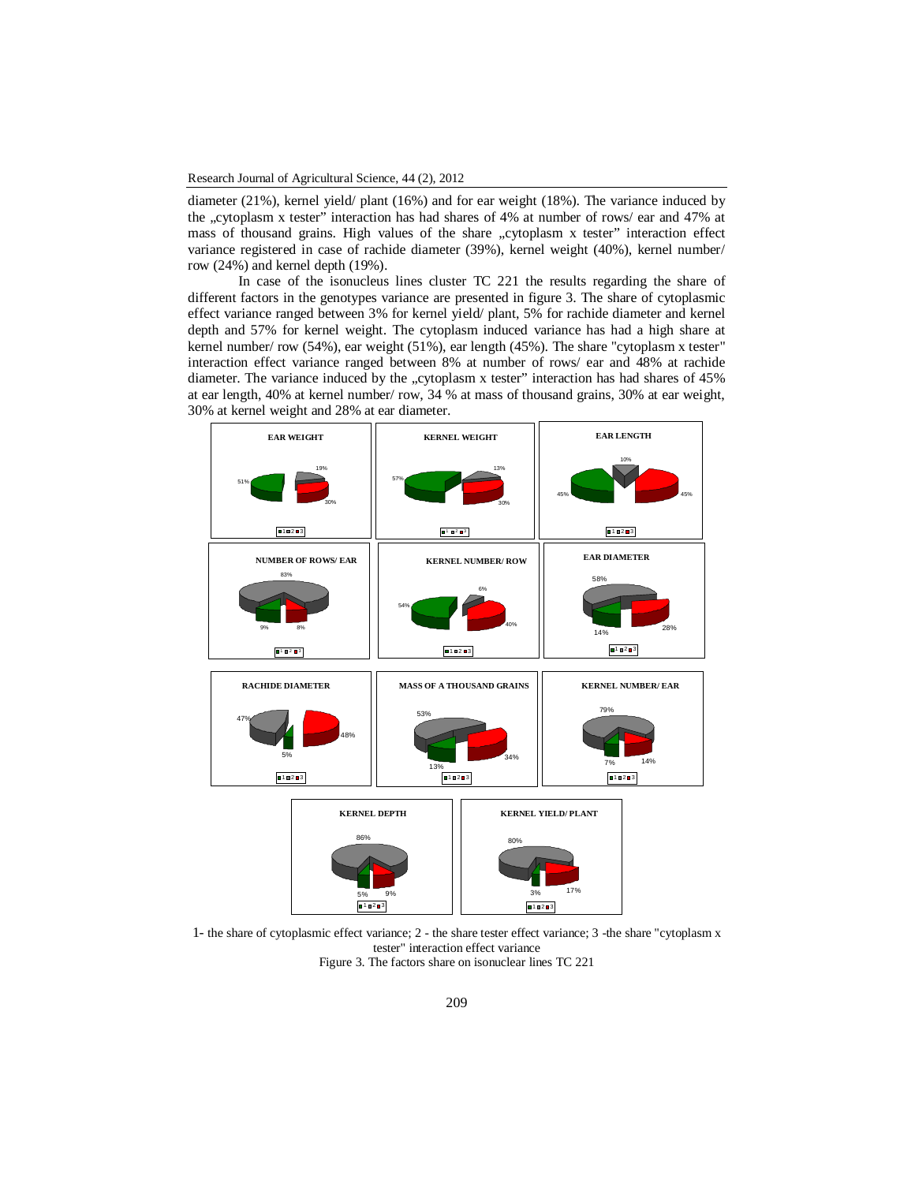diameter (21%), kernel yield/ plant (16%) and for ear weight (18%). The variance induced by the "cytoplasm x tester" interaction has had shares of 4% at number of rows/ ear and 47% at mass of thousand grains. High values of the share "cytoplasm x tester" interaction effect variance registered in case of rachide diameter (39%), kernel weight (40%), kernel number/ row (24%) and kernel depth (19%).

In case of the isonucleus lines cluster TC 221 the results regarding the share of different factors in the genotypes variance are presented in figure 3. The share of cytoplasmic effect variance ranged between 3% for kernel yield/ plant, 5% for rachide diameter and kernel depth and 57% for kernel weight. The cytoplasm induced variance has had a high share at kernel number/ row (54%), ear weight (51%), ear length (45%). The share "cytoplasm x tester" interaction effect variance ranged between 8% at number of rows/ ear and 48% at rachide diameter. The variance induced by the "cytoplasm x tester" interaction has had shares of 45% at ear length, 40% at kernel number/ row, 34 % at mass of thousand grains, 30% at ear weight, 30% at kernel weight and 28% at ear diameter.



1- the share of cytoplasmic effect variance; 2 - the share tester effect variance; 3 -the share "cytoplasm x tester" interaction effect variance Figure 3. The factors share on isonuclear lines TC 221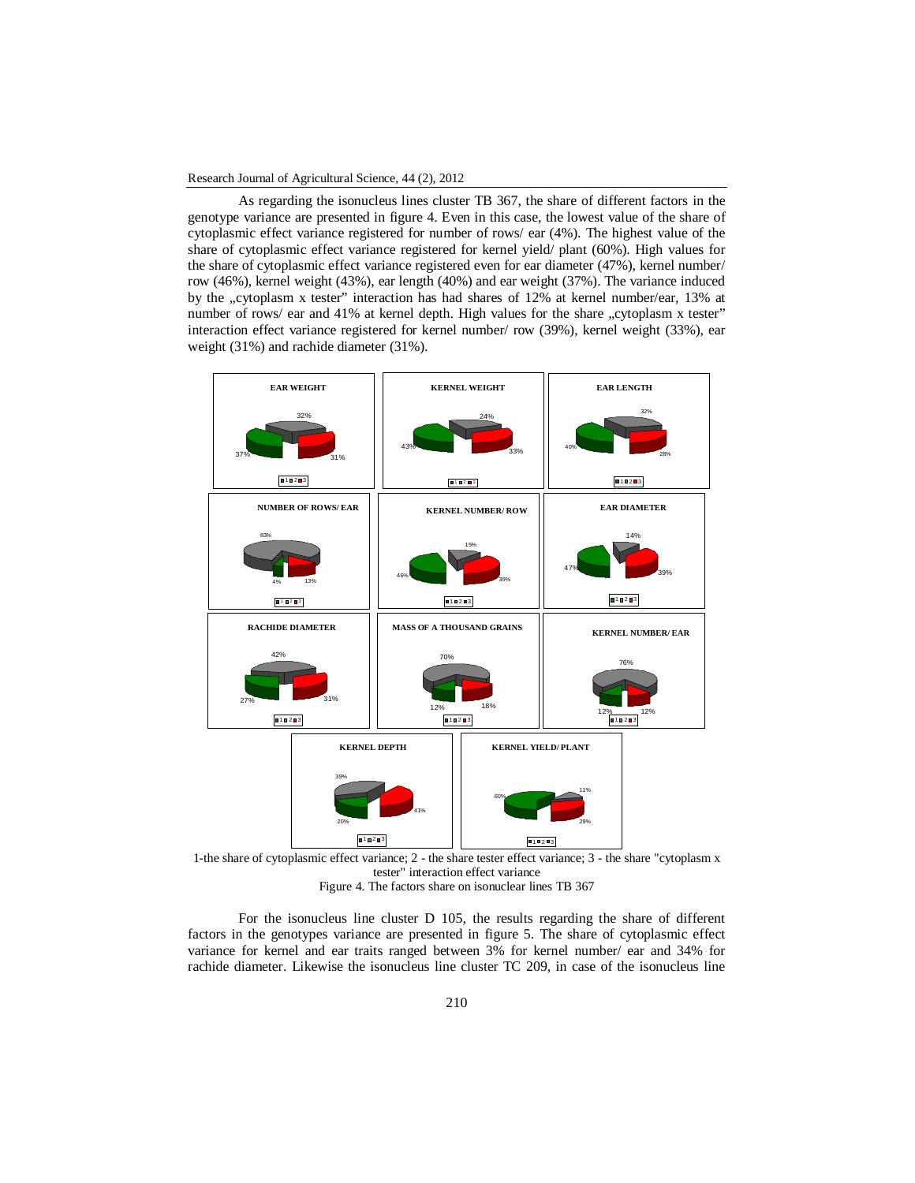As regarding the isonucleus lines cluster TB 367, the share of different factors in the genotype variance are presented in figure 4. Even in this case, the lowest value of the share of cytoplasmic effect variance registered for number of rows/ ear (4%). The highest value of the share of cytoplasmic effect variance registered for kernel yield/ plant (60%). High values for the share of cytoplasmic effect variance registered even for ear diameter (47%), kernel number/ row (46%), kernel weight (43%), ear length (40%) and ear weight (37%). The variance induced by the "cytoplasm x tester" interaction has had shares of 12% at kernel number/ear, 13% at number of rows/ ear and 41% at kernel depth. High values for the share "cytoplasm x tester" interaction effect variance registered for kernel number/ row (39%), kernel weight (33%), ear weight (31%) and rachide diameter (31%).

|                             | <b>EAR WEIGHT</b>         |                     |                             | <b>KERNEL WEIGHT</b>             | <b>EAR LENGTH</b>    |                           |  |
|-----------------------------|---------------------------|---------------------|-----------------------------|----------------------------------|----------------------|---------------------------|--|
|                             | 32%<br>37%<br>31%         |                     | 43%                         | 24%<br>33%                       | 40%                  | 32%<br>28%                |  |
|                             | ■1■2■3                    |                     |                             | 11213                            |                      | 10203                     |  |
|                             | <b>NUMBER OF ROWS/EAR</b> |                     |                             | <b>KERNEL NUMBER/ROW</b>         |                      | <b>EAR DIAMETER</b>       |  |
| 83%<br>13%<br>4%            |                           |                     | 15%<br>46%<br>39%           |                                  | 14%<br>479<br>39%    |                           |  |
|                             | 11213                     |                     |                             | ■1■2■3                           | ■1■2■3               |                           |  |
|                             | <b>RACHIDE DIAMETER</b>   |                     |                             | <b>MASS OF A THOUSAND GRAINS</b> |                      | <b>KERNEL NUMBER/ EAR</b> |  |
| 42%<br>31%<br>27%<br>■1■2■3 |                           |                     | 70%<br>18%<br>12%<br>■1■2■3 |                                  | 12%                  | 76%<br>12%<br>■1■2■3      |  |
|                             |                           | <b>KERNEL DEPTH</b> |                             | <b>KERNEL YIELD/PLANT</b>        |                      |                           |  |
|                             | 39%<br>20%                | 41%<br>■1■2■3       |                             |                                  | 11%<br>29%<br>■1■2■3 |                           |  |

1-the share of cytoplasmic effect variance; 2 - the share tester effect variance; 3 - the share "cytoplasm x tester" interaction effect variance

Figure 4. The factors share on isonuclear lines TB 367

For the isonucleus line cluster D 105, the results regarding the share of different factors in the genotypes variance are presented in figure 5. The share of cytoplasmic effect variance for kernel and ear traits ranged between 3% for kernel number/ ear and 34% for rachide diameter. Likewise the isonucleus line cluster TC 209, in case of the isonucleus line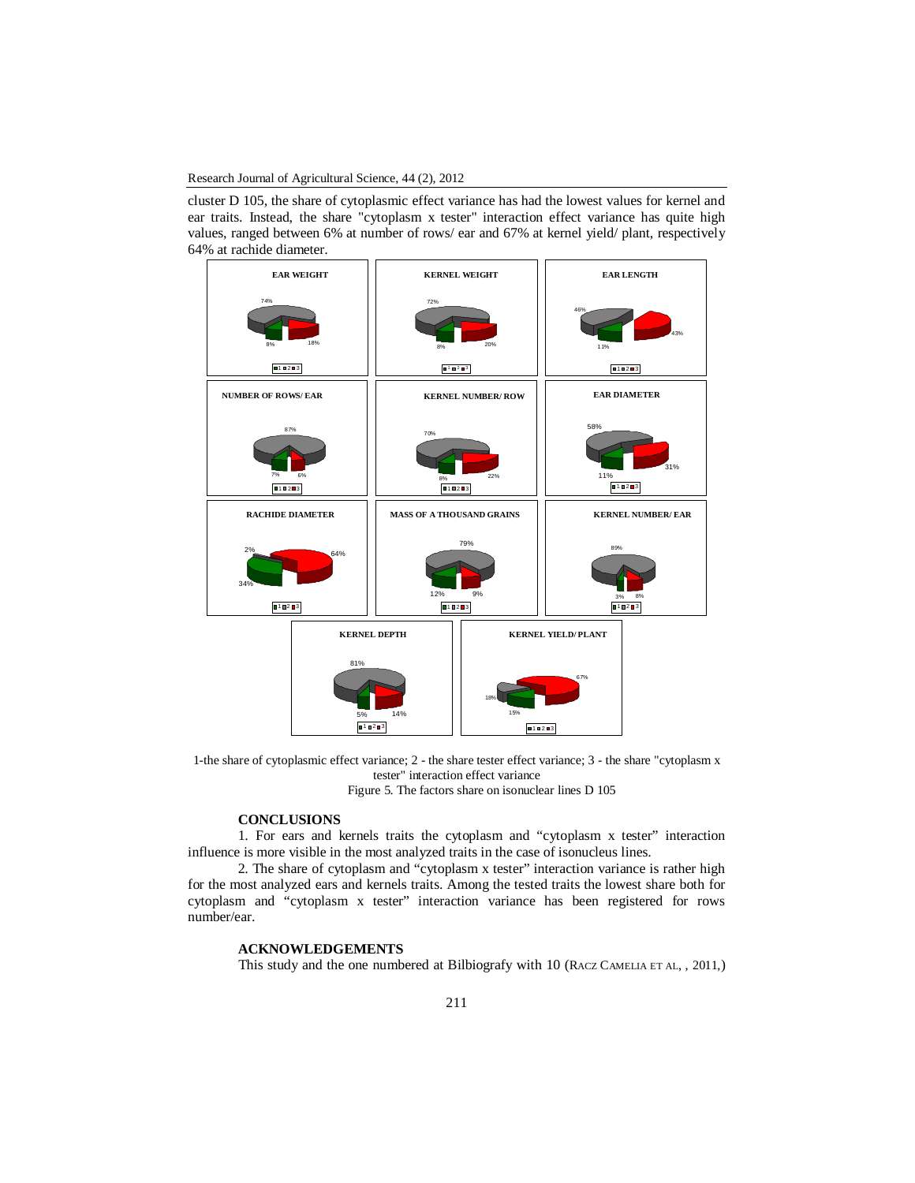cluster D 105, the share of cytoplasmic effect variance has had the lowest values for kernel and ear traits. Instead, the share "cytoplasm x tester" interaction effect variance has quite high values, ranged between 6% at number of rows/ ear and 67% at kernel yield/ plant, respectively 64% at rachide diameter.



1-the share of cytoplasmic effect variance; 2 - the share tester effect variance; 3 - the share "cytoplasm x tester" interaction effect variance

Figure 5. The factors share on isonuclear lines D 105

#### **CONCLUSIONS**

1. For ears and kernels traits the cytoplasm and "cytoplasm x tester" interaction influence is more visible in the most analyzed traits in the case of isonucleus lines.

2. The share of cytoplasm and "cytoplasm x tester" interaction variance is rather high for the most analyzed ears and kernels traits. Among the tested traits the lowest share both for cytoplasm and "cytoplasm x tester" interaction variance has been registered for rows number/ear.

## **ACKNOWLEDGEMENTS**

This study and the one numbered at Bilbiografy with 10 (RACZ CAMELIA ET AL, , 2011,)